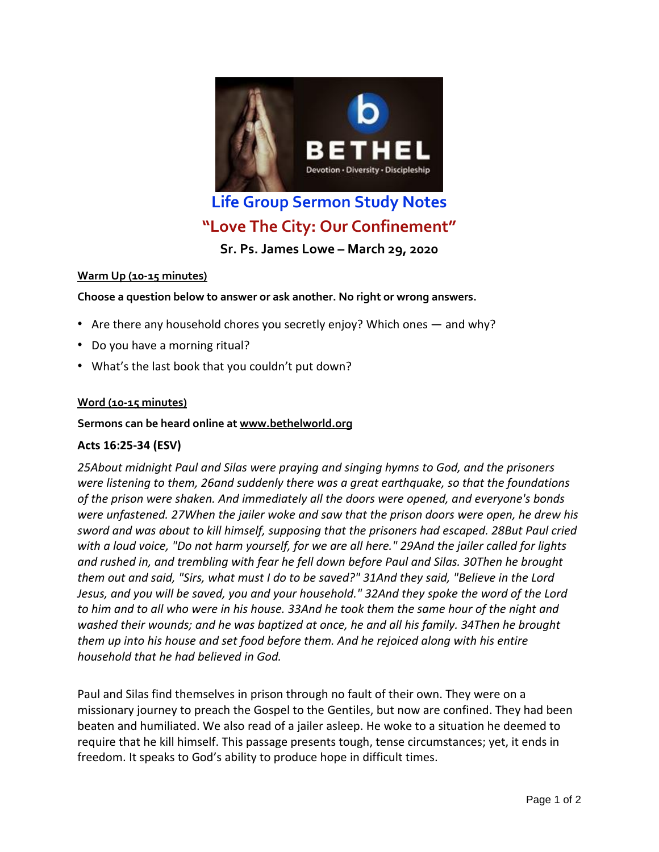

# **"Love The City: Our Confinement"**

**Sr. Ps. James Lowe – March 29, 2020**

## **Warm Up (10-15 minutes)**

**Choose a question below to answer or ask another. No right or wrong answers.**

- Are there any household chores you secretly enjoy? Which ones and why?
- Do you have a morning ritual?
- What's the last book that you couldn't put down?

## **Word (10-15 minutes)**

### **Sermons can be heard online at [www.bethelworld.org](http://www.bethelworld.org/)**

## **Acts 16:25-34 (ESV)**

*25About midnight Paul and Silas were praying and singing hymns to God, and the prisoners were listening to them, 26and suddenly there was a great earthquake, so that the foundations of the prison were shaken. And immediately all the doors were opened, and everyone's bonds were unfastened. 27When the jailer woke and saw that the prison doors were open, he drew his sword and was about to kill himself, supposing that the prisoners had escaped. 28But Paul cried* with a loud voice, "Do not harm yourself, for we are all here." 29And the jailer called for lights *and rushed in, and trembling with fear he fell down before Paul and Silas. 30Then he brought* them out and said, "Sirs, what must I do to be saved?" 31And they said, "Believe in the Lord *Jesus, and you will be saved, you and your household." 32And they spoke the word of the Lord* to him and to all who were in his house. 33And he took them the same hour of the night and *washed their wounds; and he was baptized at once, he and all his family. 34Then he brought them up into his house and set food before them. And he rejoiced along with his entire household that he had believed in God.*

Paul and Silas find themselves in prison through no fault of their own. They were on a missionary journey to preach the Gospel to the Gentiles, but now are confined. They had been beaten and humiliated. We also read of a jailer asleep. He woke to a situation he deemed to require that he kill himself. This passage presents tough, tense circumstances; yet, it ends in freedom. It speaks to God's ability to produce hope in difficult times.